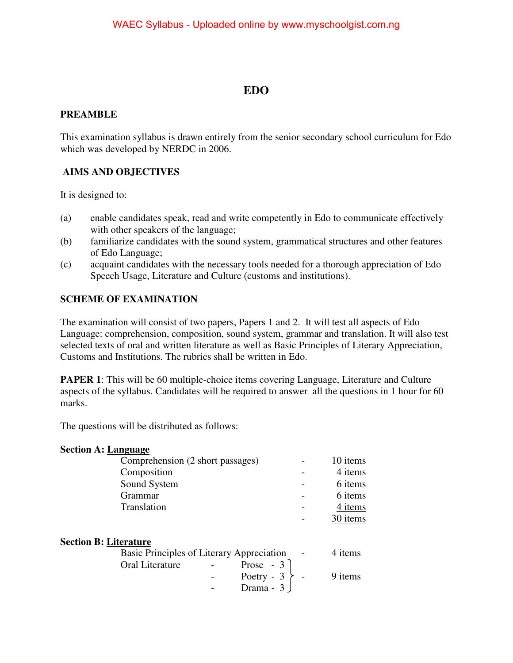# **EDO**

# **PREAMBLE**

This examination syllabus is drawn entirely from the senior secondary school curriculum for Edo which was developed by NERDC in 2006.

# **AIMS AND OBJECTIVES**

It is designed to:

- (a) enable candidates speak, read and write competently in Edo to communicate effectively with other speakers of the language;
- (b) familiarize candidates with the sound system, grammatical structures and other features of Edo Language;
- (c) acquaint candidates with the necessary tools needed for a thorough appreciation of Edo Speech Usage, Literature and Culture (customs and institutions).

# **SCHEME OF EXAMINATION**

The examination will consist of two papers, Papers 1 and 2. It will test all aspects of Edo Language: comprehension, composition, sound system, grammar and translation. It will also test selected texts of oral and written literature as well as Basic Principles of Literary Appreciation, Customs and Institutions. The rubrics shall be written in Edo.

**PAPER 1**: This will be 60 multiple-choice items covering Language, Literature and Culture aspects of the syllabus. Candidates will be required to answer all the questions in 1 hour for 60 marks.

The questions will be distributed as follows:

#### **Section A: Language**

| Comprehension (2 short passages) | 10 items |
|----------------------------------|----------|
| Composition                      | 4 items  |
| Sound System                     | 6 items  |
| Grammar                          | 6 items  |
| Translation                      | 4 items  |
|                                  | 30 items |

#### **Section B: Literature**

| Basic Principles of Literary Appreciation           | $\sim 100$ km s $^{-1}$ | 4 items |
|-----------------------------------------------------|-------------------------|---------|
| Prose $-3$  <br>Oral Literature<br>$\sim$ 100 $\mu$ |                         |         |
| Poetry - $3 \nightharpoonup$ -                      |                         | 9 items |
| Drama $-3$ J                                        |                         |         |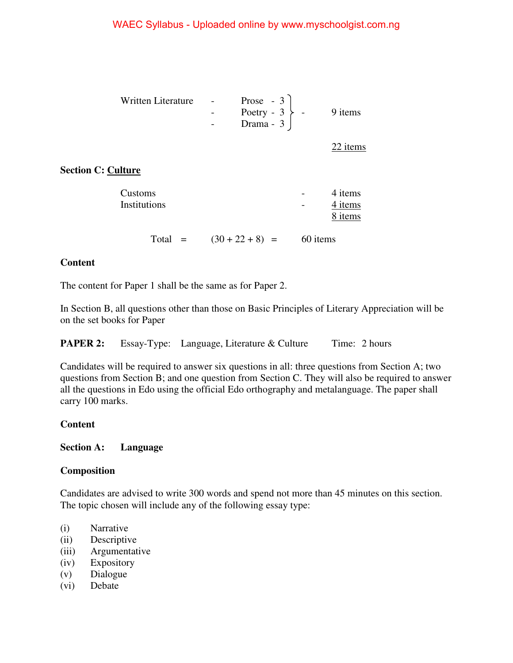| Written Literature - |                  | Prose - $3$                    |         |
|----------------------|------------------|--------------------------------|---------|
|                      | $\sim$ 100 $\mu$ | Poetry - $3 \nightharpoonup$ - | 9 items |
|                      |                  | Drama - $3 \mid$               |         |

22 items

# **Section C: Culture**

| Customs<br>Institutions |                           |          | 4 items<br>4 items<br>8 items |
|-------------------------|---------------------------|----------|-------------------------------|
|                         | Total = $(30 + 22 + 8)$ = | 60 items |                               |

#### **Content**

The content for Paper 1 shall be the same as for Paper 2.

In Section B, all questions other than those on Basic Principles of Literary Appreciation will be on the set books for Paper

|  |  | <b>PAPER 2:</b> Essay-Type: Language, Literature & Culture | Time: 2 hours |
|--|--|------------------------------------------------------------|---------------|
|--|--|------------------------------------------------------------|---------------|

Candidates will be required to answer six questions in all: three questions from Section A; two questions from Section B; and one question from Section C. They will also be required to answer all the questions in Edo using the official Edo orthography and metalanguage. The paper shall carry 100 marks.

# **Content**

#### **Section A: Language**

#### **Composition**

Candidates are advised to write 300 words and spend not more than 45 minutes on this section. The topic chosen will include any of the following essay type:

- (i) Narrative
- (ii) Descriptive
- (iii) Argumentative
- (iv) Expository
- (v) Dialogue
- (vi) Debate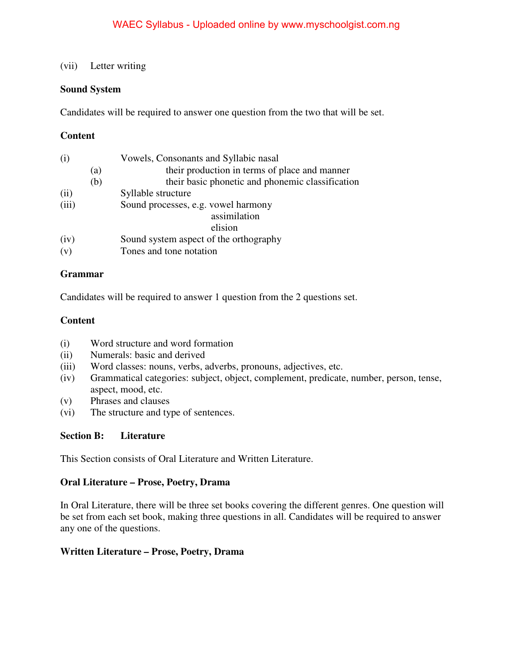# (vii) Letter writing

## **Sound System**

Candidates will be required to answer one question from the two that will be set.

# **Content**

| (i)   |     | Vowels, Consonants and Syllabic nasal            |
|-------|-----|--------------------------------------------------|
|       | (a) | their production in terms of place and manner    |
|       | (b) | their basic phonetic and phonemic classification |
| (ii)  |     | Syllable structure                               |
| (iii) |     | Sound processes, e.g. vowel harmony              |
|       |     | assimilation                                     |
|       |     | elision                                          |
| (iv)  |     | Sound system aspect of the orthography           |
| (v)   |     | Tones and tone notation                          |

#### **Grammar**

Candidates will be required to answer 1 question from the 2 questions set.

#### **Content**

- (i) Word structure and word formation
- (ii) Numerals: basic and derived
- (iii) Word classes: nouns, verbs, adverbs, pronouns, adjectives, etc.
- (iv) Grammatical categories: subject, object, complement, predicate, number, person, tense, aspect, mood, etc.
- (v) Phrases and clauses
- (vi) The structure and type of sentences.

# **Section B: Literature**

This Section consists of Oral Literature and Written Literature.

#### **Oral Literature – Prose, Poetry, Drama**

In Oral Literature, there will be three set books covering the different genres. One question will be set from each set book, making three questions in all. Candidates will be required to answer any one of the questions.

# **Written Literature – Prose, Poetry, Drama**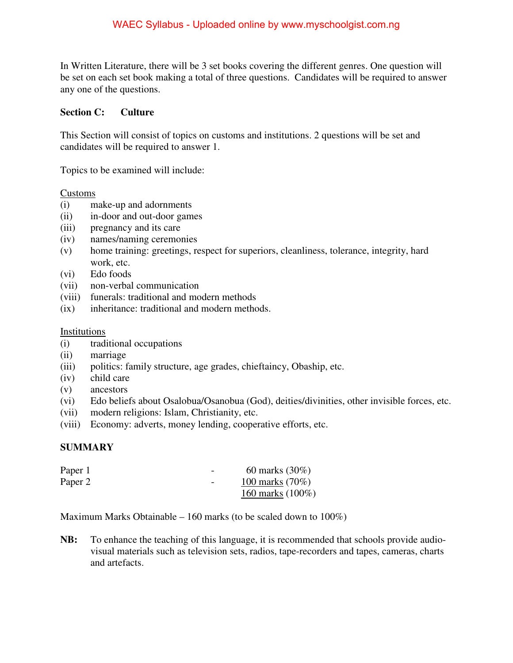In Written Literature, there will be 3 set books covering the different genres. One question will be set on each set book making a total of three questions. Candidates will be required to answer any one of the questions.

## **Section C: Culture**

This Section will consist of topics on customs and institutions. 2 questions will be set and candidates will be required to answer 1.

Topics to be examined will include:

Customs

- (i) make-up and adornments
- (ii) in-door and out-door games
- (iii) pregnancy and its care
- (iv) names/naming ceremonies
- (v) home training: greetings, respect for superiors, cleanliness, tolerance, integrity, hard work, etc.
- (vi) Edo foods
- (vii) non-verbal communication
- (viii) funerals: traditional and modern methods
- (ix) inheritance: traditional and modern methods.

Institutions

- (i) traditional occupations
- (ii) marriage
- (iii) politics: family structure, age grades, chieftaincy, Obaship, etc.
- (iv) child care
- (v) ancestors
- (vi) Edo beliefs about Osalobua/Osanobua (God), deities/divinities, other invisible forces, etc.
- (vii) modern religions: Islam, Christianity, etc.
- (viii) Economy: adverts, money lending, cooperative efforts, etc.

# **SUMMARY**

| Paper 1 | $\overline{\phantom{a}}$ | 60 marks $(30\%)$   |
|---------|--------------------------|---------------------|
| Paper 2 | $\overline{\phantom{0}}$ | 100 marks (70%)     |
|         |                          | 160 marks $(100\%)$ |

Maximum Marks Obtainable – 160 marks (to be scaled down to 100%)

**NB:** To enhance the teaching of this language, it is recommended that schools provide audiovisual materials such as television sets, radios, tape-recorders and tapes, cameras, charts and artefacts.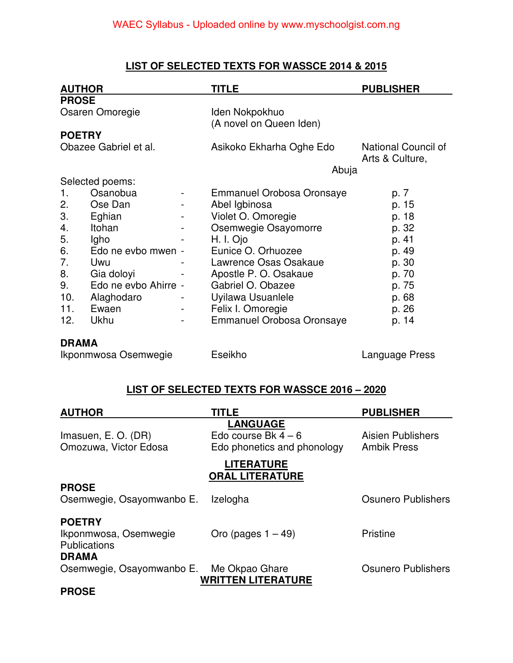# **LIST OF SELECTED TEXTS FOR WASSCE 2014 & 2015**

| <b>AUTHOR</b>         |                            |  | TITLE                                     | <b>PUBLISHER</b>                       |
|-----------------------|----------------------------|--|-------------------------------------------|----------------------------------------|
| <b>PROSE</b>          |                            |  |                                           |                                        |
| Osaren Omoregie       |                            |  | Iden Nokpokhuo<br>(A novel on Queen Iden) |                                        |
| <b>POETRY</b>         |                            |  |                                           |                                        |
| Obazee Gabriel et al. |                            |  | Asikoko Ekharha Oghe Edo                  | National Council of<br>Arts & Culture, |
|                       |                            |  | Abuja                                     |                                        |
|                       | Selected poems:            |  |                                           |                                        |
| 1.                    | Osanobua                   |  | <b>Emmanuel Orobosa Oronsaye</b>          | p. 7                                   |
| 2.                    | Ose Dan                    |  | Abel Igbinosa                             | p. 15                                  |
| 3.                    | Eghian                     |  | Violet O. Omoregie                        | p. 18                                  |
| 4.                    | Itohan                     |  | Osemwegie Osayomorre                      | p. 32                                  |
| 5.                    | Igho                       |  | H. I. Ojo                                 | p. 41                                  |
| 6.                    | Edo ne evbo mwen -         |  | Eunice O. Orhuozee                        | p. 49                                  |
| 7.                    | Uwu                        |  | Lawrence Osas Osakaue                     | p. 30                                  |
| 8.                    | Gia doloyi                 |  | Apostle P. O. Osakaue                     | p. 70                                  |
| 9.                    | Edo ne evbo Ahirre -       |  | Gabriel O. Obazee                         | p. 75                                  |
| 10.                   | Alaghodaro                 |  | Uyilawa Usuanlele                         | p. 68                                  |
| 11.                   | Ewaen                      |  | Felix I. Omoregie                         | p. 26                                  |
| 12.                   | Ukhu                       |  | Emmanuel Orobosa Oronsaye                 | p. 14                                  |
|                       | <b>DRAMA</b>               |  |                                           |                                        |
|                       | $\mathsf{l}_{\mathsf{in}}$ |  | $\Gamma$ aailcha                          | مممدن معمورية مدا                      |

Ikponmwosa Osemwegie Eseikho Language Press

# **LIST OF SELECTED TEXTS FOR WASSCE 2016 – 2020**

| <b>AUTHOR</b>             | <b>TITLE</b>                | <b>PUBLISHER</b>   |
|---------------------------|-----------------------------|--------------------|
|                           | <b>LANGUAGE</b>             |                    |
| Imasuen, E. O. (DR)       | Edo course Bk $4-6$         | Aisien Publishers  |
| Omozuwa, Victor Edosa     | Edo phonetics and phonology | <b>Ambik Press</b> |
|                           | <b>LITERATURE</b>           |                    |
|                           | <b>ORAL LITERATURE</b>      |                    |
| <b>PROSE</b>              |                             |                    |
| Osemwegie, Osayomwanbo E. | Izelogha                    | Osunero Publishers |
|                           |                             |                    |
| <b>POETRY</b>             |                             |                    |
| Ikponmwosa, Osemwegie     | Oro (pages $1 - 49$ )       | <b>Pristine</b>    |
| <b>Publications</b>       |                             |                    |
| <b>DRAMA</b>              |                             |                    |
| Osemwegie, Osayomwanbo E. | Me Okpao Ghare              | Osunero Publishers |
|                           | <b>WRITTEN LITERATURE</b>   |                    |
| <b>PROSE</b>              |                             |                    |